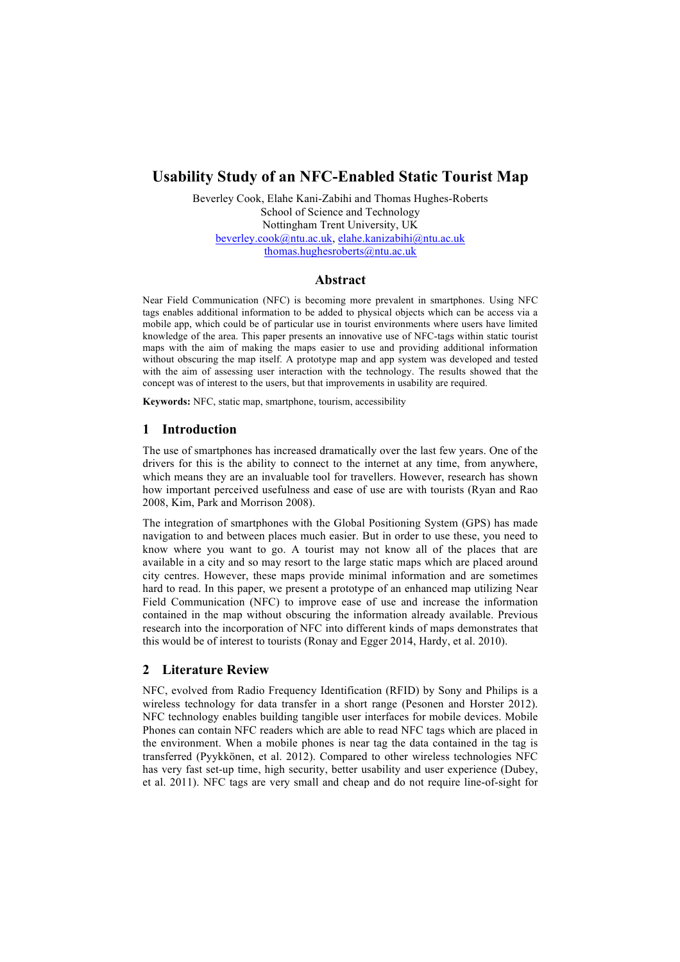# **Usability Study of an NFC-Enabled Static Tourist Map**

Beverley Cook, Elahe Kani-Zabihi and Thomas Hughes-Roberts School of Science and Technology Nottingham Trent University, UK beverley.cook@ntu.ac.uk, elahe.kanizabihi@ntu.ac.uk thomas.hughesroberts@ntu.ac.uk

### **Abstract**

Near Field Communication (NFC) is becoming more prevalent in smartphones. Using NFC tags enables additional information to be added to physical objects which can be access via a mobile app, which could be of particular use in tourist environments where users have limited knowledge of the area. This paper presents an innovative use of NFC-tags within static tourist maps with the aim of making the maps easier to use and providing additional information without obscuring the map itself. A prototype map and app system was developed and tested with the aim of assessing user interaction with the technology. The results showed that the concept was of interest to the users, but that improvements in usability are required.

**Keywords:** NFC, static map, smartphone, tourism, accessibility

## **1 Introduction**

The use of smartphones has increased dramatically over the last few years. One of the drivers for this is the ability to connect to the internet at any time, from anywhere, which means they are an invaluable tool for travellers. However, research has shown how important perceived usefulness and ease of use are with tourists (Ryan and Rao 2008, Kim, Park and Morrison 2008).

The integration of smartphones with the Global Positioning System (GPS) has made navigation to and between places much easier. But in order to use these, you need to know where you want to go. A tourist may not know all of the places that are available in a city and so may resort to the large static maps which are placed around city centres. However, these maps provide minimal information and are sometimes hard to read. In this paper, we present a prototype of an enhanced map utilizing Near Field Communication (NFC) to improve ease of use and increase the information contained in the map without obscuring the information already available. Previous research into the incorporation of NFC into different kinds of maps demonstrates that this would be of interest to tourists (Ronay and Egger 2014, Hardy, et al. 2010).

## **2 Literature Review**

NFC, evolved from Radio Frequency Identification (RFID) by Sony and Philips is a wireless technology for data transfer in a short range (Pesonen and Horster 2012). NFC technology enables building tangible user interfaces for mobile devices. Mobile Phones can contain NFC readers which are able to read NFC tags which are placed in the environment. When a mobile phones is near tag the data contained in the tag is transferred (Pyykkönen, et al. 2012). Compared to other wireless technologies NFC has very fast set-up time, high security, better usability and user experience (Dubey, et al. 2011). NFC tags are very small and cheap and do not require line-of-sight for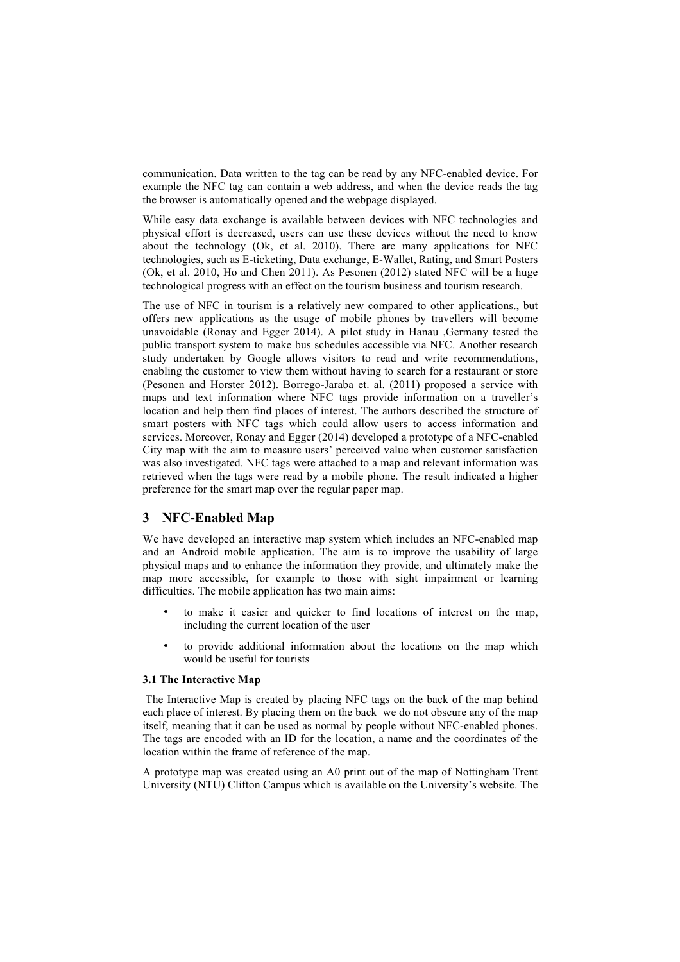communication. Data written to the tag can be read by any NFC-enabled device. For example the NFC tag can contain a web address, and when the device reads the tag the browser is automatically opened and the webpage displayed.

While easy data exchange is available between devices with NFC technologies and physical effort is decreased, users can use these devices without the need to know about the technology (Ok, et al. 2010). There are many applications for NFC technologies, such as E-ticketing, Data exchange, E-Wallet, Rating, and Smart Posters (Ok, et al. 2010, Ho and Chen 2011). As Pesonen (2012) stated NFC will be a huge technological progress with an effect on the tourism business and tourism research.

The use of NFC in tourism is a relatively new compared to other applications., but offers new applications as the usage of mobile phones by travellers will become unavoidable (Ronay and Egger 2014). A pilot study in Hanau ,Germany tested the public transport system to make bus schedules accessible via NFC. Another research study undertaken by Google allows visitors to read and write recommendations, enabling the customer to view them without having to search for a restaurant or store (Pesonen and Horster 2012). Borrego-Jaraba et. al. (2011) proposed a service with maps and text information where NFC tags provide information on a traveller's location and help them find places of interest. The authors described the structure of smart posters with NFC tags which could allow users to access information and services. Moreover, Ronay and Egger (2014) developed a prototype of a NFC-enabled City map with the aim to measure users' perceived value when customer satisfaction was also investigated. NFC tags were attached to a map and relevant information was retrieved when the tags were read by a mobile phone. The result indicated a higher preference for the smart map over the regular paper map.

# **3 NFC-Enabled Map**

We have developed an interactive map system which includes an NFC-enabled map and an Android mobile application. The aim is to improve the usability of large physical maps and to enhance the information they provide, and ultimately make the map more accessible, for example to those with sight impairment or learning difficulties. The mobile application has two main aims:

- to make it easier and quicker to find locations of interest on the map, including the current location of the user
- to provide additional information about the locations on the map which would be useful for tourists

#### **3.1 The Interactive Map**

The Interactive Map is created by placing NFC tags on the back of the map behind each place of interest. By placing them on the back we do not obscure any of the map itself, meaning that it can be used as normal by people without NFC-enabled phones. The tags are encoded with an ID for the location, a name and the coordinates of the location within the frame of reference of the map.

A prototype map was created using an A0 print out of the map of Nottingham Trent University (NTU) Clifton Campus which is available on the University's website. The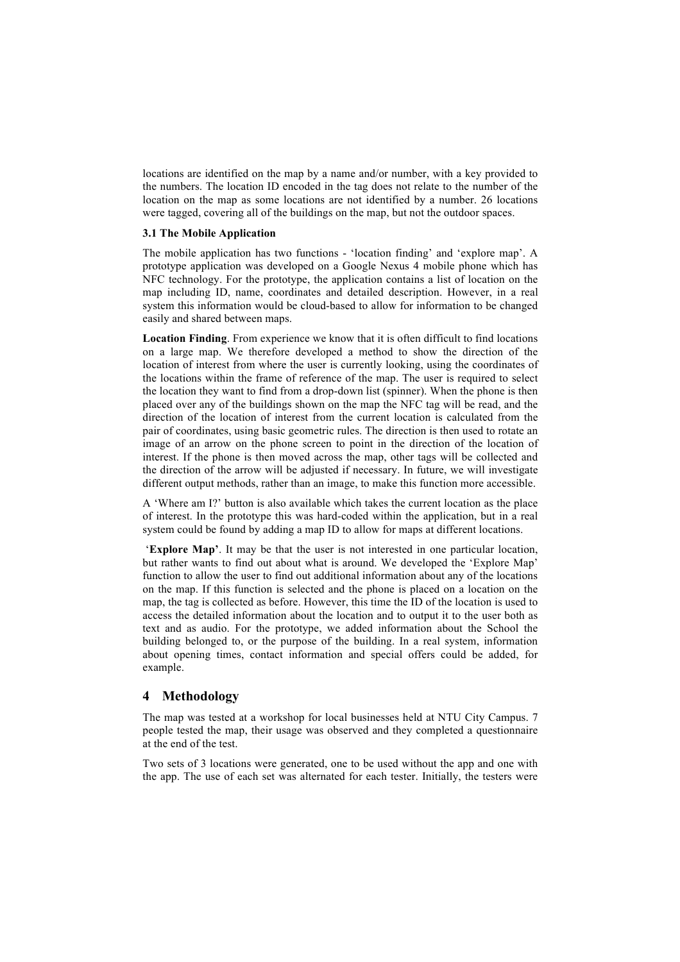locations are identified on the map by a name and/or number, with a key provided to the numbers. The location ID encoded in the tag does not relate to the number of the location on the map as some locations are not identified by a number. 26 locations were tagged, covering all of the buildings on the map, but not the outdoor spaces.

## **3.1 The Mobile Application**

The mobile application has two functions - 'location finding' and 'explore map'. A prototype application was developed on a Google Nexus 4 mobile phone which has NFC technology. For the prototype, the application contains a list of location on the map including ID, name, coordinates and detailed description. However, in a real system this information would be cloud-based to allow for information to be changed easily and shared between maps.

**Location Finding**. From experience we know that it is often difficult to find locations on a large map. We therefore developed a method to show the direction of the location of interest from where the user is currently looking, using the coordinates of the locations within the frame of reference of the map. The user is required to select the location they want to find from a drop-down list (spinner). When the phone is then placed over any of the buildings shown on the map the NFC tag will be read, and the direction of the location of interest from the current location is calculated from the pair of coordinates, using basic geometric rules. The direction is then used to rotate an image of an arrow on the phone screen to point in the direction of the location of interest. If the phone is then moved across the map, other tags will be collected and the direction of the arrow will be adjusted if necessary. In future, we will investigate different output methods, rather than an image, to make this function more accessible.

A 'Where am I?' button is also available which takes the current location as the place of interest. In the prototype this was hard-coded within the application, but in a real system could be found by adding a map ID to allow for maps at different locations.

'**Explore Map'**. It may be that the user is not interested in one particular location, but rather wants to find out about what is around. We developed the 'Explore Map' function to allow the user to find out additional information about any of the locations on the map. If this function is selected and the phone is placed on a location on the map, the tag is collected as before. However, this time the ID of the location is used to access the detailed information about the location and to output it to the user both as text and as audio. For the prototype, we added information about the School the building belonged to, or the purpose of the building. In a real system, information about opening times, contact information and special offers could be added, for example.

## **4 Methodology**

The map was tested at a workshop for local businesses held at NTU City Campus. 7 people tested the map, their usage was observed and they completed a questionnaire at the end of the test.

Two sets of 3 locations were generated, one to be used without the app and one with the app. The use of each set was alternated for each tester. Initially, the testers were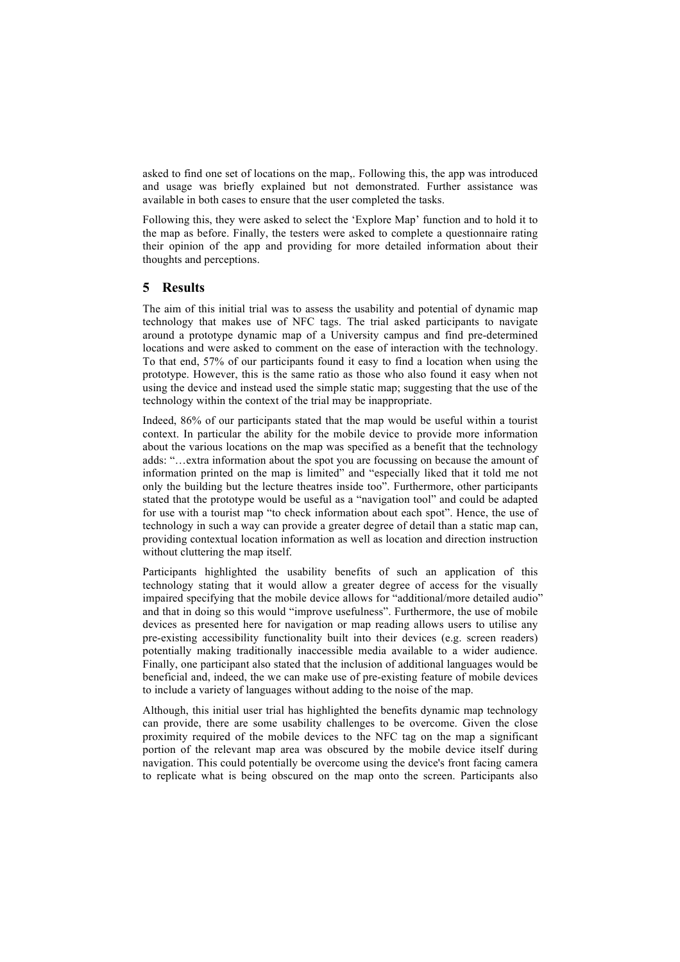asked to find one set of locations on the map,. Following this, the app was introduced and usage was briefly explained but not demonstrated. Further assistance was available in both cases to ensure that the user completed the tasks.

Following this, they were asked to select the 'Explore Map' function and to hold it to the map as before. Finally, the testers were asked to complete a questionnaire rating their opinion of the app and providing for more detailed information about their thoughts and perceptions.

# **5 Results**

The aim of this initial trial was to assess the usability and potential of dynamic map technology that makes use of NFC tags. The trial asked participants to navigate around a prototype dynamic map of a University campus and find pre-determined locations and were asked to comment on the ease of interaction with the technology. To that end, 57% of our participants found it easy to find a location when using the prototype. However, this is the same ratio as those who also found it easy when not using the device and instead used the simple static map; suggesting that the use of the technology within the context of the trial may be inappropriate.

Indeed, 86% of our participants stated that the map would be useful within a tourist context. In particular the ability for the mobile device to provide more information about the various locations on the map was specified as a benefit that the technology adds: "…extra information about the spot you are focussing on because the amount of information printed on the map is limited" and "especially liked that it told me not only the building but the lecture theatres inside too". Furthermore, other participants stated that the prototype would be useful as a "navigation tool" and could be adapted for use with a tourist map "to check information about each spot". Hence, the use of technology in such a way can provide a greater degree of detail than a static map can, providing contextual location information as well as location and direction instruction without cluttering the map itself.

Participants highlighted the usability benefits of such an application of this technology stating that it would allow a greater degree of access for the visually impaired specifying that the mobile device allows for "additional/more detailed audio" and that in doing so this would "improve usefulness". Furthermore, the use of mobile devices as presented here for navigation or map reading allows users to utilise any pre-existing accessibility functionality built into their devices (e.g. screen readers) potentially making traditionally inaccessible media available to a wider audience. Finally, one participant also stated that the inclusion of additional languages would be beneficial and, indeed, the we can make use of pre-existing feature of mobile devices to include a variety of languages without adding to the noise of the map.

Although, this initial user trial has highlighted the benefits dynamic map technology can provide, there are some usability challenges to be overcome. Given the close proximity required of the mobile devices to the NFC tag on the map a significant portion of the relevant map area was obscured by the mobile device itself during navigation. This could potentially be overcome using the device's front facing camera to replicate what is being obscured on the map onto the screen. Participants also